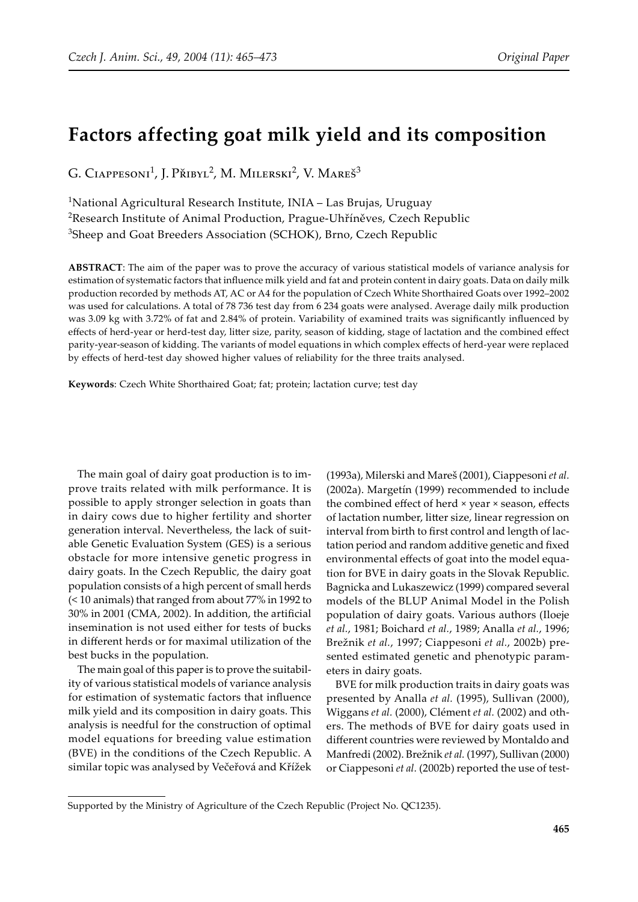# **Factors affecting goat milk yield and its composition**

G. Ciappesoni<sup>1</sup>, J. Přibyl<sup>2</sup>, M. Milerski<sup>2</sup>, V. Mareš<sup>3</sup>

<sup>1</sup>National Agricultural Research Institute, INIA - Las Brujas, Uruguay <sup>2</sup>Research Institute of Animal Production, Prague-Uhříněves, Czech Republic <sup>3</sup>Sheep and Goat Breeders Association (SCHOK), Brno, Czech Republic

**ABSTRACT**: The aim of the paper was to prove the accuracy of various statistical models of variance analysis for estimation of systematic factors that influence milk yield and fat and protein content in dairy goats. Data on daily milk production recorded by methods AT, AC or A4 for the population of Czech White Shorthaired Goats over 1992–2002 was used for calculations. A total of 78 736 test day from 6 234 goats were analysed. Average daily milk production was 3.09 kg with 3.72% of fat and 2.84% of protein. Variability of examined traits was significantly influenced by effects of herd-year or herd-test day, litter size, parity, season of kidding, stage of lactation and the combined effect parity-year-season of kidding. The variants of model equations in which complex effects of herd-year were replaced by effects of herd-test day showed higher values of reliability for the three traits analysed.

**Keywords**: Czech White Shorthaired Goat; fat; protein; lactation curve; test day

The main goal of dairy goat production is to improve traits related with milk performance. It is possible to apply stronger selection in goats than in dairy cows due to higher fertility and shorter generation interval. Nevertheless, the lack of suitable Genetic Evaluation System (GES) is a serious obstacle for more intensive genetic progress in dairy goats. In the Czech Republic, the dairy goat population consists of a high percent of small herds (< 10 animals) that ranged from about 77% in 1992 to 30% in 2001 (CMA, 2002). In addition, the artificial insemination is not used either for tests of bucks in different herds or for maximal utilization of the best bucks in the population.

The main goal of this paper is to prove the suitability of various statistical models of variance analysis for estimation of systematic factors that influence milk yield and its composition in dairy goats. This analysis is needful for the construction of optimal model equations for breeding value estimation (BVE) in the conditions of the Czech Republic. A similar topic was analysed by Večeřová and Křížek

(1993a), Milerski and Mareš (2001), Ciappesoni *et al.* (2002a). Margetín (1999) recommended to include the combined effect of herd × year × season, effects of lactation number, litter size, linear regression on interval from birth to first control and length of lactation period and random additive genetic and fixed environmental effects of goat into the model equation for BVE in dairy goats in the Slovak Republic. Bagnicka and Lukaszewicz (1999) compared several models of the BLUP Animal Model in the Polish population of dairy goats. Various authors (Iloeje *et al.*, 1981; Boichard *et al.*, 1989; Analla *et al.*, 1996; Brežnik *et al.*, 1997; Ciappesoni *et al.*, 2002b) presented estimated genetic and phenotypic parameters in dairy goats.

BVE for milk production traits in dairy goats was presented by Analla *et al.* (1995), Sullivan (2000), Wiggans *et al.* (2000), Clément *et al.* (2002) and others. The methods of BVE for dairy goats used in different countries were reviewed by Montaldo and Manfredi (2002). Brežnik *et al.* (1997), Sullivan (2000) or Ciappesoni *et al.* (2002b) reported the use of test-

Supported by the Ministry of Agriculture of the Czech Republic (Project No. QC1235).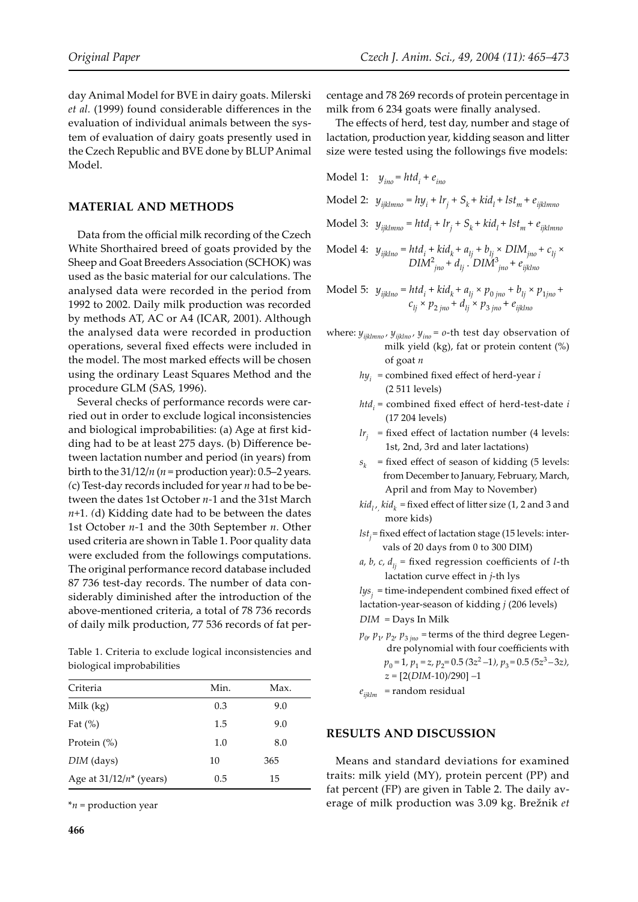day Animal Model for BVE in dairy goats. Milerski *et al.* (1999) found considerable differences in the evaluation of individual animals between the system of evaluation of dairy goats presently used in the Czech Republic and BVE done by BLUP Animal Model.

### **MATERIAL AND METHODS**

Data from the official milk recording of the Czech White Shorthaired breed of goats provided by the Sheep and Goat Breeders Association (SCHOK) was used as the basic material for our calculations. The analysed data were recorded in the period from 1992 to 2002. Daily milk production was recorded by methods AT, AC or A4 (ICAR, 2001). Although the analysed data were recorded in production operations, several fixed effects were included in the model. The most marked effects will be chosen using the ordinary Least Squares Method and the procedure GLM (SAS, 1996).

Several checks of performance records were carried out in order to exclude logical inconsistencies and biological improbabilities: (a) Age at first kidding had to be at least 275 days. (b) Difference between lactation number and period (in years) from birth to the 31/12/*n* (*n* = production year): 0.5–2 years*. (*c) Test-day records included for year *n* had to be between the dates 1st October *n-*1 and the 31st March *n+*1*. (*d) Kidding date had to be between the dates 1st October *n-*1 and the 30th September *n.* Other used criteria are shown in Table 1. Poor quality data were excluded from the followings computations. The original performance record database included 87 736 test-day records. The number of data considerably diminished after the introduction of the above-mentioned criteria, a total of 78 736 records of daily milk production, 77 536 records of fat per-

Table 1. Criteria to exclude logical inconsistencies and biological improbabilities

| Criteria                   | Min. | Max. |
|----------------------------|------|------|
| Milk $(kg)$                | 0.3  | 9.0  |
| Fat $(\%)$                 | 1.5  | 9.0  |
| Protein $(\%)$             | 1.0  | 8.0  |
| DIM (days)                 | 10   | 365  |
| Age at $31/12/n^*$ (years) | 0.5  | 15   |

\**n* = production year

centage and 78 269 records of protein percentage in milk from 6 234 goats were finally analysed.

The effects of herd, test day, number and stage of lactation, production year, kidding season and litter size were tested using the followings five models:

Model 1: 
$$
y_{ino} = htd_i + e_{ino}
$$
  
\nModel 2:  $y_{ijklmno} = hy_i + lr_j + S_k + kid_l + lst_m + e_{ijklmno}$   
\nModel 3:  $y_{ijklmno} = htd_i + lr_j + S_k + kid_l + lst_m + e_{ijklmno}$ 

Model 4: 
$$
y_{ijklno} = htd_i + kid_k + a_{lj} + b_{lj} \times DIM_{jno} + c_{lj} \times
$$
  
 $DIM_{jno}^2 + d_{lj} \cdot DIM_{jno}^3 + e_{ijklno}$ 

Model 5: 
$$
y_{ijklno} = htd_i + kid_k + a_{lj} \times p_{0jno} + b_{lj} \times p_{1jno} + c_{lj} \times p_{2jno} + d_{lj} \times p_{3jno} + e_{ijklno}
$$

- where: *yijklmno , yijklno , yino = o*-th test day observation of milk yield (kg), fat or protein content (%) of goat *n*
	- $h\psi_i$  = combined fixed effect of herd-year *i* (2 511 levels)
- $htd_i$  = combined fixed effect of herd-test-date *i* (17 204 levels)
- $lr<sub>j</sub>$  = fixed effect of lactation number (4 levels: 1st, 2nd, 3rd and later lactations)
	- $s_k$  = fixed effect of season of kidding (5 levels: from December to January, February, March, April and from May to November)
- $kid_{l}$ ,  $kid_{k}$  = fixed effect of litter size (1, 2 and 3 and more kids)
	- *lstj =* fixed effect of lactation stage (15 levels: inter vals of 20 days from 0 to 300 DIM)
	- *a, b, c, d*<sub>*ij*</sub> = fixed regression coefficients of *l*-th lactation curve effect in *j*-th lys

 $lys<sub>j</sub>$  = time-independent combined fixed effect of lactation-year-season of kidding *j* (206 levels)  *DIM =* Days In Milk

> $p_0$ ,  $p_1$ ,  $p_2$ ,  $p_3$ <sub>*jno*</sub> = terms of the third degree Legen dre polynomial with four coefficients with  $p_0 = 1$ ,  $p_1 = z$ ,  $p_2 = 0.5 (3z^2 - 1)$ ,  $p_3 = 0.5 (5z^3 - 3z)$ ,  *z =* [2(*DIM-*10)*/*290] *–*1

 $e_{ijklm}$  = random residual

#### **RESULTS AND DISCUSSION**

Means and standard deviations for examined traits: milk yield (MY), protein percent (PP) and fat percent (FP) are given in Table 2. The daily average of milk production was 3.09 kg. Brežnik *et*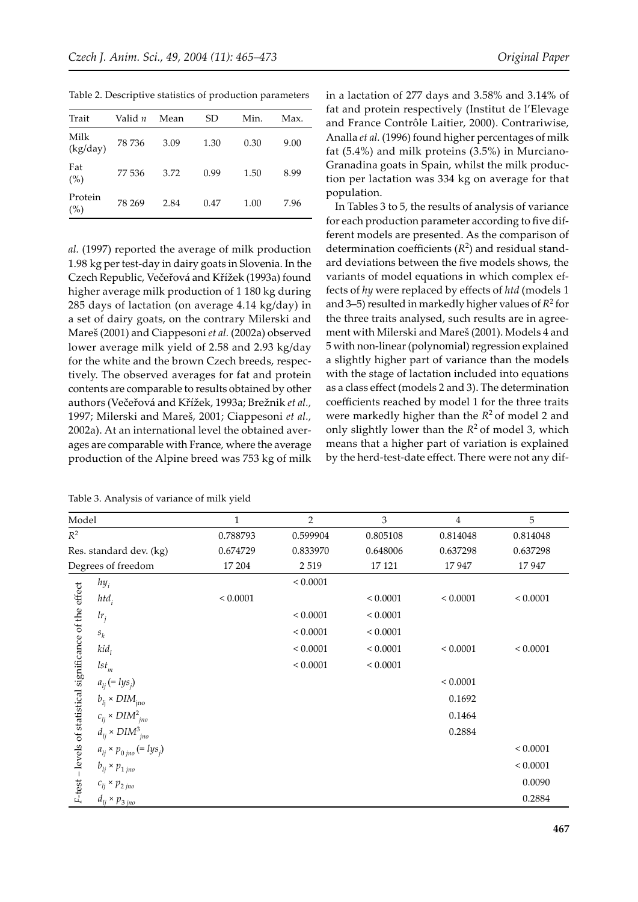| Trait            | Valid n | Mean | SD   | Min. | Max. |
|------------------|---------|------|------|------|------|
| Milk<br>(kg/day) | 78 736  | 3.09 | 1.30 | 0.30 | 9.00 |
| Fat<br>(%)       | 77 536  | 3.72 | 0.99 | 1.50 | 8.99 |
| Protein<br>(%)   | 78 269  | 2.84 | 0.47 | 1.00 | 7.96 |

Table 2. Descriptive statistics of production parameters

*al.* (1997) reported the average of milk production 1.98 kg per test-day in dairy goats in Slovenia. In the Czech Republic, Večeřová and Křížek (1993a) found higher average milk production of 1 180 kg during 285 days of lactation (on average 4.14 kg/day) in a set of dairy goats, on the contrary Milerski and Mareš (2001) and Ciappesoni *et al.* (2002a) observed lower average milk yield of 2.58 and 2.93 kg/day for the white and the brown Czech breeds, respectively. The observed averages for fat and protein contents are comparable to results obtained by other authors (Večeřová and Křížek, 1993a; Brežnik *et al.,* 1997; Milerski and Mareš, 2001; Ciappesoni *et al.,*  2002a). At an international level the obtained averages are comparable with France, where the average production of the Alpine breed was 753 kg of milk

| Table 3. Analysis of variance of milk yield |
|---------------------------------------------|
|---------------------------------------------|

in a lactation of 277 days and 3.58% and 3.14% of fat and protein respectively (Institut de l'Elevage and France Contrôle Laitier, 2000). Contrariwise, Analla *et al.* (1996) found higher percentages of milk fat (5.4%) and milk proteins (3.5%) in Murciano-Granadina goats in Spain, whilst the milk production per lactation was 334 kg on average for that population.

In Tables 3 to 5, the results of analysis of variance for each production parameter according to five different models are presented. As the comparison of determination coefficients  $(R^2)$  and residual standard deviations between the five models shows, the variants of model equations in which complex effects of *hy* were replaced by effects of *htd* (models 1 and 3–5) resulted in markedly higher values of  $R^2$  for the three traits analysed, such results are in agreement with Milerski and Mareš (2001). Models 4 and 5 with non-linear (polynomial) regression explained a slightly higher part of variance than the models with the stage of lactation included into equations as a class effect (models 2 and 3). The determination coefficients reached by model 1 for the three traits were markedly higher than the  $R^2$  of model 2 and only slightly lower than the  $R^2$  of model 3, which means that a higher part of variation is explained by the herd-test-date effect. There were not any dif-

| Model                                                     |                                              | $\mathbf{1}$ | $\overline{2}$ | 3            | 4            | 5            |
|-----------------------------------------------------------|----------------------------------------------|--------------|----------------|--------------|--------------|--------------|
| $R^2$                                                     |                                              | 0.788793     | 0.599904       | 0.805108     | 0.814048     | 0.814048     |
|                                                           | Res. standard dev. (kg)                      | 0.674729     | 0.833970       | 0.648006     | 0.637298     | 0.637298     |
|                                                           | Degrees of freedom                           | 17 204       | 2 5 1 9        | 17 121       | 17947        | 17947        |
|                                                           | $hy_i$                                       |              | ${}< 0.0001$   |              |              |              |
| F-test - levels of statistical significance of the effect | $htd_i$                                      | ${}< 0.0001$ |                | ${}< 0.0001$ | ${}< 0.0001$ | ${}< 0.0001$ |
|                                                           | $lr_i$                                       |              | ${}< 0.0001$   | ${}< 0.0001$ |              |              |
|                                                           | $s_k$                                        |              | ${}< 0.0001$   | ${}< 0.0001$ |              |              |
|                                                           | kid <sub>1</sub>                             |              | ${}< 0.0001$   | ${}< 0.0001$ | ${}< 0.0001$ | < 0.0001     |
|                                                           | $lst_m$                                      |              | ${}< 0.0001$   | ${}< 0.0001$ |              |              |
|                                                           | $a_{li} (= lys_j)$                           |              |                |              | ${}< 0.0001$ |              |
|                                                           | $b_{l_i}$ × $DIM_{\text{ino}}$               |              |                |              | 0.1692       |              |
|                                                           | $c_{li} \times DIM_{ino}^2$                  |              |                |              | 0.1464       |              |
|                                                           | $d_{li} \times DIM_{ino}^3$                  |              |                |              | 0.2884       |              |
|                                                           | $a_{lj}$ × $p_{0 jno}$ (= lys <sub>j</sub> ) |              |                |              |              | ${}< 0.0001$ |
|                                                           | $b_{lj}$ × $p_{1 jno}$                       |              |                |              |              | < 0.0001     |
|                                                           | $c_{lj} \times p_{2jno}$                     |              |                |              |              | 0.0090       |
|                                                           | $d_{li} \times p_{3\textit{jno}}$            |              |                |              |              | 0.2884       |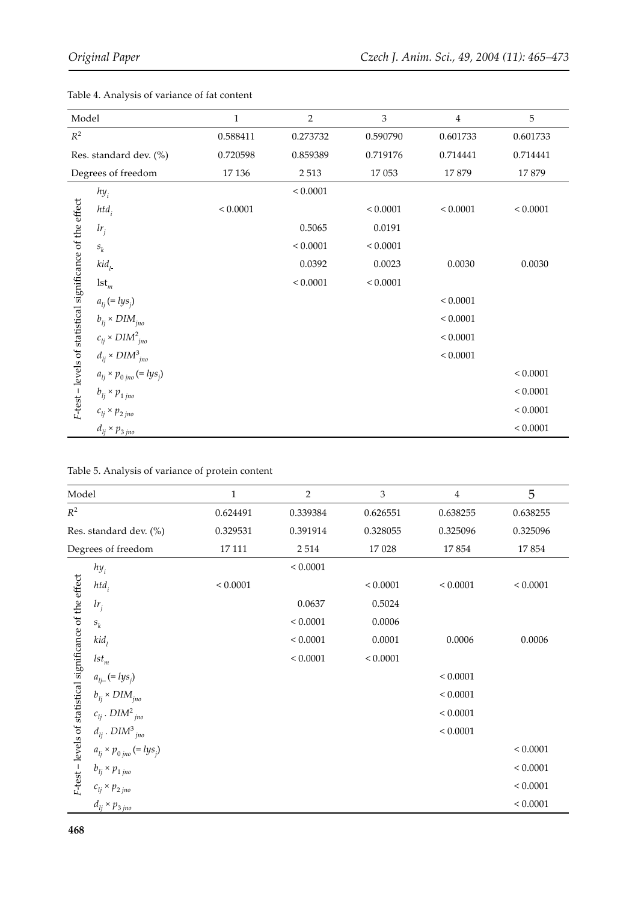| Model                                                     |                                     | $\mathbf{1}$ | $\overline{2}$ | 3            | $\overline{4}$ | 5            |
|-----------------------------------------------------------|-------------------------------------|--------------|----------------|--------------|----------------|--------------|
| $\mathbb{R}^2$                                            |                                     | 0.588411     | 0.273732       | 0.590790     | 0.601733       | 0.601733     |
|                                                           | Res. standard dev. (%)              | 0.720598     | 0.859389       | 0.719176     | 0.714441       | 0.714441     |
|                                                           | Degrees of freedom                  | 17 136       | 2 5 1 3        | 17 053       | 17879          | 17879        |
|                                                           | $hy_i$                              |              | ${}< 0.0001$   |              |                |              |
|                                                           | $htd_i$                             | ${}< 0.0001$ |                | ${}< 0.0001$ | ${}< 0.0001$   | ${}< 0.0001$ |
|                                                           | lr <sub>j</sub>                     |              | 0.5065         | 0.0191       |                |              |
|                                                           | $\boldsymbol{s}_k$                  |              | ${}< 0.0001$   | ${}< 0.0001$ |                |              |
|                                                           | kid <sub>l</sub>                    |              | 0.0392         | 0.0023       | 0.0030         | 0.0030       |
|                                                           | $1st_m$                             |              | ${}< 0.0001$   | ${}< 0.0001$ |                |              |
|                                                           | $a_{lj} (= lys_j)$                  |              |                |              | ${}< 0.0001$   |              |
|                                                           | $b_{li} \times DIM_{jno}$           |              |                |              | ${}< 0.0001$   |              |
|                                                           | $c_{li} \times DIM_{ino}^2$         |              |                |              | ${}< 0.0001$   |              |
|                                                           | $d_{lj} \times DIM_{jno}^3$         |              |                |              | ${}< 0.0001$   |              |
|                                                           | $a_{lj}$ × $p_{0 jno}$ (= $lys_j$ ) |              |                |              |                | ${}< 0.0001$ |
| F-test - levels of statistical significance of the effect | $b_{lj}$ × $p_{1 jno}$              |              |                |              |                | ${}< 0.0001$ |
|                                                           | $c_{lj}\times p_{2\;jno}$           |              |                |              |                | ${}< 0.0001$ |
|                                                           | $d_{li} \times p_{3\,jno}$          |              |                |              |                | ${}< 0.0001$ |

Table 4. Analysis of variance of fat content

| Model                                                     |                                     | 1            | $\overline{2}$ | 3            | $\overline{4}$ | 5            |
|-----------------------------------------------------------|-------------------------------------|--------------|----------------|--------------|----------------|--------------|
| $R^2$                                                     |                                     | 0.624491     | 0.339384       | 0.626551     | 0.638255       | 0.638255     |
|                                                           | Res. standard dev. (%)              | 0.329531     | 0.391914       | 0.328055     | 0.325096       | 0.325096     |
|                                                           | Degrees of freedom                  | 17 111       | 2 5 1 4        | 17 028       | 17854          | 17854        |
|                                                           | $hy_i$                              |              | ${}< 0.0001$   |              |                |              |
|                                                           | $htd_i$                             | ${}< 0.0001$ |                | ${}< 0.0001$ | ${}< 0.0001$   | < 0.0001     |
|                                                           | $lr_j$                              |              | 0.0637         | 0.5024       |                |              |
|                                                           | $\boldsymbol{s}_k$                  |              | ${}< 0.0001$   | 0.0006       |                |              |
|                                                           | kid <sub>1</sub>                    |              | ${}< 0.0001$   | 0.0001       | 0.0006         | 0.0006       |
|                                                           | $lst_m$                             |              | ${}< 0.0001$   | ${}< 0.0001$ |                |              |
|                                                           | $a_{lj-} (= lys_j)$                 |              |                |              | ${}< 0.0001$   |              |
|                                                           | $b_{li} \times DIM_{jno}$           |              |                |              | ${}< 0.0001$   |              |
|                                                           | $c_{lj}$ . $DIM2_{jno}$             |              |                |              | ${}< 0.0001$   |              |
|                                                           | $d_{lj}$ . $DIM_{jno}^3$            |              |                |              | ${}< 0.0001$   |              |
|                                                           | $a_{lj}$ × $p_{0 jno}$ (= $lys_j$ ) |              |                |              |                | ${}< 0.0001$ |
| F-test - levels of statistical significance of the effect | $b_{lj}\times p_{1\,jno}$           |              |                |              |                | ${}< 0.0001$ |
|                                                           | $c_{lj}\times p_{2\,jno}$           |              |                |              |                | ${}< 0.0001$ |
|                                                           | $d_{lj}$ × $p_{3 jno}$              |              |                |              |                | ${}< 0.0001$ |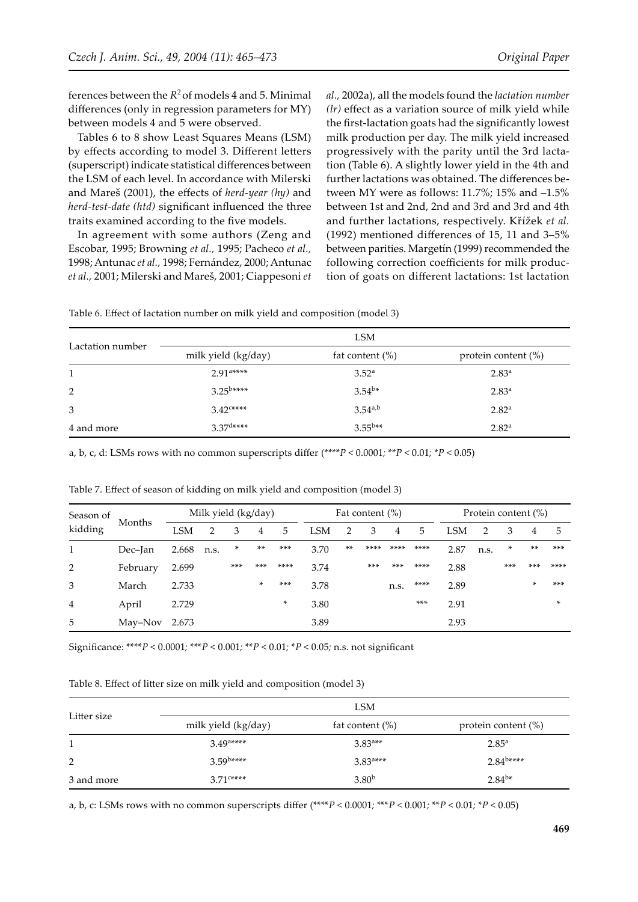ferences between the  $R^2$  of models 4 and 5. Minimal differences (only in regression parameters for MY) between models 4 and 5 were observed.

Tables 6 to 8 show Least Squares Means (LSM) by effects according to model 3. Different letters (superscript) indicate statistical differences between the LSM of each level. In accordance with Milerski and Mareš (2001), the effects of *herd-year (hy)* and *herd-test-date (htd)* significant influenced the three traits examined according to the five models.

In agreement with some authors (Zeng and Escobar, 1995; Browning *et al.,* 1995; Pacheco *et al.,* 1998; Antunac *et al.,* 1998; Fernández, 2000; Antunac *et al.,* 2001; Milerski and Mareš, 2001; Ciappesoni *et* 

*al.,* 2002a), all the models found the *lactation number (lr)* effect as a variation source of milk yield while the first-lactation goats had the significantly lowest milk production per day. The milk yield increased progressively with the parity until the 3rd lactation (Table 6). A slightly lower yield in the 4th and further lactations was obtained. The differences between MY were as follows: 11.7%; 15% and –1.5% between 1st and 2nd, 2nd and 3rd and 3rd and 4th and further lactations, respectively. Křížek *et al.*  (1992) mentioned differences of 15, 11 and 3–5% between parities. Margetín (1999) recommended the following correction coefficients for milk production of goats on different lactations: 1st lactation

| Table 6. Effect of lactation number on milk yield and composition (model 3) |  |  |  |
|-----------------------------------------------------------------------------|--|--|--|
|-----------------------------------------------------------------------------|--|--|--|

|                  |                                            | <b>LSM</b>         |                        |  |  |
|------------------|--------------------------------------------|--------------------|------------------------|--|--|
| Lactation number | milk yield (kg/day)                        | fat content $(\%)$ | protein content $(\%)$ |  |  |
| 1                | $2.91$ <sup>a****</sup>                    | $3.52^{\circ}$     | $2.83^{a}$             |  |  |
| 2                | $3.25^{b****}$                             | $3.54^{b*}$        | $2.83^{a}$             |  |  |
| 3                | $3.42$ <sup><math>\text{c***}</math></sup> | $3.54^{a,b}$       | 2.82 <sup>a</sup>      |  |  |
| 4 and more       | $3.37$ d****                               | $3.55^{b**}$       | $2.82^{\rm a}$         |  |  |

a, b, c, d: LSMs rows with no common superscripts differ (\*\*\*\**P* < 0.0001*;* \*\**P* < 0.01*;* \**P* < 0.05)

| Season of         |          | Milk yield (kg/day) |      |       |        | Fat content $(\%)$ |      |       |       | Protein content (%) |       |      |      |     |       |        |
|-------------------|----------|---------------------|------|-------|--------|--------------------|------|-------|-------|---------------------|-------|------|------|-----|-------|--------|
| Months<br>kidding |          | LSM                 | 2    | 3     | 4      | 5                  | LSM  | 2     | 3     | 4                   | 5     | LSM  | 2    | 3   | 4     | 5      |
| 1                 | Dec-Jan  | 2.668               | n.s. | *     | **     | ***                | 3.70 | $***$ | ****  | ****                | ****  | 2.87 | n.s. | *   | $***$ | $***$  |
| 2                 | February | 2.699               |      | $***$ | ***    | ****               | 3.74 |       | $***$ | $***$               | ****  | 2.88 |      | *** | $***$ | ****   |
| 3                 | March    | 2.733               |      |       | $\ast$ | ***                | 3.78 |       |       | n.s.                | ****  | 2.89 |      |     | *     | $***$  |
| 4                 | April    | 2.729               |      |       |        | *                  | 3.80 |       |       |                     | $***$ | 2.91 |      |     |       | $\ast$ |
| 5                 | May–Nov  | 2.673               |      |       |        |                    | 3.89 |       |       |                     |       | 2.93 |      |     |       |        |

Table 7. Effect of season of kidding on milk yield and composition (model 3)

Significance: \*\*\*\**P* < 0.0001*;* \*\*\**P* < 0.001*;* \*\**P* < 0.01*;* \**P* < 0.05*;* n.s. not significant

Table 8. Effect of litter size on milk yield and composition (model 3)

|             |                                     | LSM                    |                        |
|-------------|-------------------------------------|------------------------|------------------------|
| Litter size | milk yield (kg/day)                 | fat content $(\%)$     | protein content $(\%)$ |
|             | $3.49$ <sup>a****</sup>             | $3.83^{a**}$           | $2.85^{a}$             |
| 2           | $3.59$ <sup>b****</sup>             | $3.83$ <sup>a***</sup> | $2.84^{\text{b***}}$   |
| 3 and more  | $3.71$ <sup><math>c***</math></sup> | 3.80 <sup>b</sup>      | $2.84^{b*}$            |

a, b, c: LSMs rows with no common superscripts differ (\*\*\*\**P <* 0.0001*;* \*\*\**P <* 0.001*;* \*\**P* < 0.01*;* \**P* < 0.05)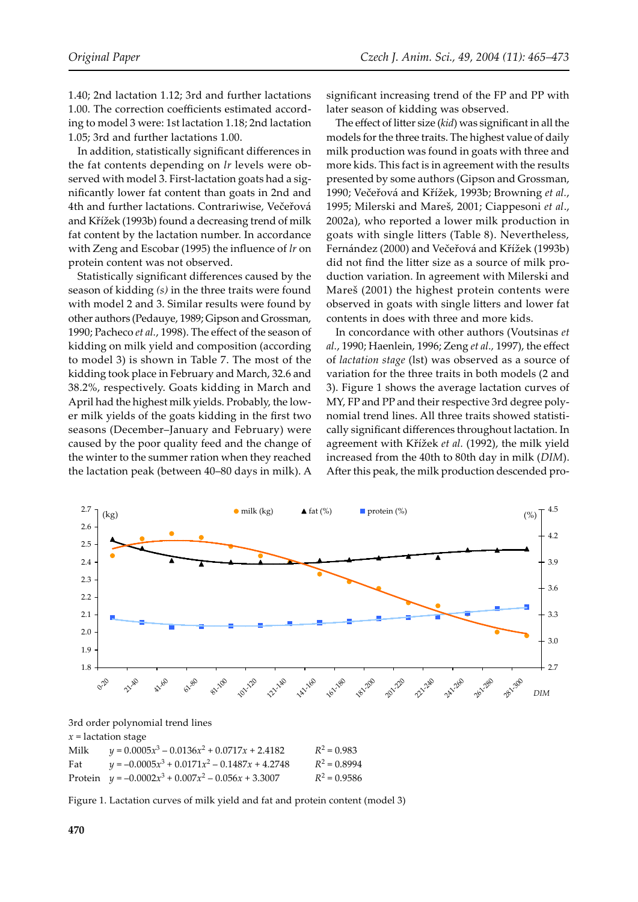1.40; 2nd lactation 1.12; 3rd and further lactations 1.00. The correction coefficients estimated according to model 3 were: 1st lactation 1.18; 2nd lactation 1.05; 3rd and further lactations 1.00.

In addition, statistically significant differences in the fat contents depending on *lr* levels were observed with model 3. First-lactation goats had a significantly lower fat content than goats in 2nd and 4th and further lactations. Contrariwise, Večeřová and Křížek (1993b) found a decreasing trend of milk fat content by the lactation number. In accordance with Zeng and Escobar (1995) the influence of *lr* on protein content was not observed.

Statistically significant differences caused by the season of kidding *(s)* in the three traits were found with model 2 and 3. Similar results were found by other authors (Pedauye, 1989; Gipson and Grossman, 1990; Pacheco *et al.*, 1998). The effect of the season of kidding on milk yield and composition (according to model 3) is shown in Table 7. The most of the kidding took place in February and March, 32.6 and 38.2%, respectively. Goats kidding in March and April had the highest milk yields. Probably, the lower milk yields of the goats kidding in the first two seasons (December–January and February) were caused by the poor quality feed and the change of the winter to the summer ration when they reached the lactation peak (between 40–80 days in milk). A

significant increasing trend of the FP and PP with later season of kidding was observed.

The effect of litter size (*kid*) was significant in all the models for the three traits. The highest value of daily milk production was found in goats with three and more kids. This fact is in agreement with the results presented by some authors (Gipson and Grossman, 1990; Večeřová and Křížek, 1993b; Browning *et al.*, 1995; Milerski and Mareš, 2001; Ciappesoni *et al*., 2002a), who reported a lower milk production in goats with single litters (Table 8). Nevertheless, Fernández (2000) and Večeřová and Křížek (1993b) did not find the litter size as a source of milk production variation. In agreement with Milerski and Mareš (2001) the highest protein contents were observed in goats with single litters and lower fat contents in does with three and more kids.

In concordance with other authors (Voutsinas *et al.*, 1990; Haenlein, 1996; Zeng *et al.,* 1997), the effect of *lactation stage* (lst) was observed as a source of variation for the three traits in both models (2 and 3). Figure 1 shows the average lactation curves of MY, FP and PP and their respective 3rd degree polynomial trend lines. All three traits showed statistically significant differences throughout lactation. In agreement with Křížek *et al.* (1992), the milk yield increased from the 40th to 80th day in milk (*DIM*). After this peak, the milk production descended pro-



3rd order polynomial trend lines

#### *x* = lactation stage

| Milk | $y = 0.0005x^3 - 0.0136x^2 + 0.0717x + 2.4182$        | $R^2 = 0.983$  |
|------|-------------------------------------------------------|----------------|
| Fat  | $y = -0.0005x^{3} + 0.0171x^{2} - 0.1487x + 4.2748$   | $R^2 = 0.8994$ |
|      | Protein $y = -0.0002x^3 + 0.007x^2 - 0.056x + 3.3007$ | $R^2 = 0.9586$ |

Figure 1. Lactation curves of milk yield and fat and protein content (model 3)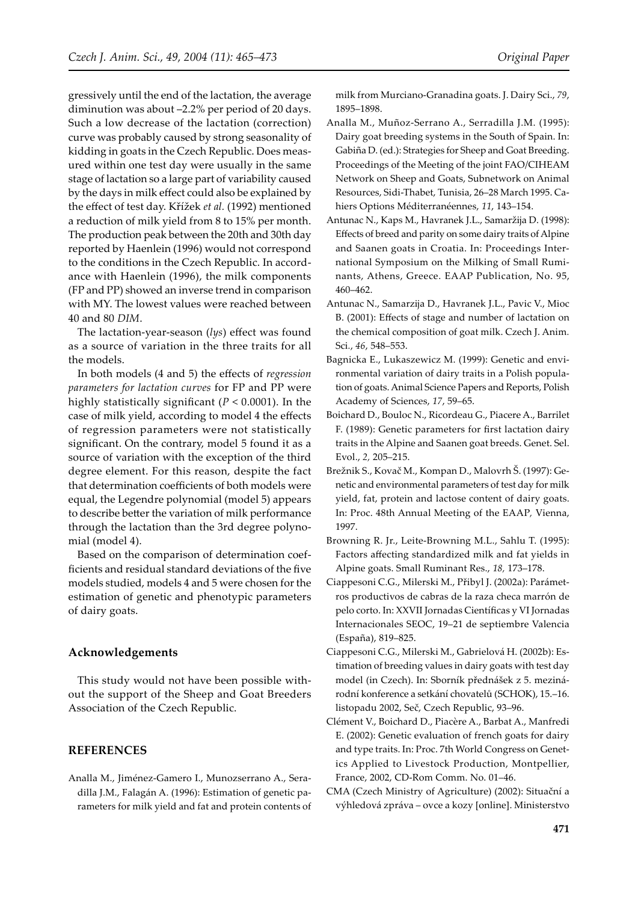gressively until the end of the lactation, the average diminution was about –2.2% per period of 20 days. Such a low decrease of the lactation (correction) curve was probably caused by strong seasonality of kidding in goats in the Czech Republic. Does measured within one test day were usually in the same stage of lactation so a large part of variability caused by the days in milk effect could also be explained by the effect of test day. Křížek *et al.* (1992) mentioned a reduction of milk yield from 8 to 15% per month. The production peak between the 20th and 30th day reported by Haenlein (1996) would not correspond to the conditions in the Czech Republic. In accordance with Haenlein (1996), the milk components (FP and PP) showed an inverse trend in comparison with MY. The lowest values were reached between 40 and 80 *DIM*.

The lactation-year-season (*lys*) effect was found as a source of variation in the three traits for all the models.

In both models (4 and 5) the effects of *regression parameters for lactation curves* for FP and PP were highly statistically significant (*P* < 0.0001). In the case of milk yield, according to model 4 the effects of regression parameters were not statistically significant. On the contrary, model 5 found it as a source of variation with the exception of the third degree element. For this reason, despite the fact that determination coefficients of both models were equal, the Legendre polynomial (model 5) appears to describe better the variation of milk performance through the lactation than the 3rd degree polynomial (model 4).

Based on the comparison of determination coefficients and residual standard deviations of the five models studied, models 4 and 5 were chosen for the estimation of genetic and phenotypic parameters of dairy goats.

#### **Acknowledgements**

This study would not have been possible without the support of the Sheep and Goat Breeders Association of the Czech Republic.

#### **REFERENCES**

Analla M., Jiménez-Gamero I., Munozserrano A., Seradilla J.M., Falagán A. (1996): Estimation of genetic parameters for milk yield and fat and protein contents of milk from Murciano-Granadina goats. J. Dairy Sci., *79*, 1895–1898.

- Analla M., Muñoz-Serrano A., Serradilla J.M. (1995): Dairy goat breeding systems in the South of Spain. In: Gabiña D. (ed.): Strategies for Sheep and Goat Breeding. Proceedings of the Meeting of the joint FAO/CIHEAM Network on Sheep and Goats, Subnetwork on Animal Resources, Sidi-Thabet, Tunisia, 26–28 March 1995. Cahiers Options Méditerranéennes, *11*, 143–154.
- Antunac N., Kaps M., Havranek J.L., Samaržija D. (1998): Effects of breed and parity on some dairy traits of Alpine and Saanen goats in Croatia. In: Proceedings International Symposium on the Milking of Small Ruminants, Athens, Greece. EAAP Publication, No. 95, 460–462.
- Antunac N., Samarzija D., Havranek J.L., Pavic V., Mioc B. (2001): Effects of stage and number of lactation on the chemical composition of goat milk. Czech J. Anim*.*  Sci*.*, *46*, 548–553.
- Bagnicka E., Lukaszewicz M. (1999): Genetic and environmental variation of dairy traits in a Polish population of goats. Animal Science Papers and Reports, Polish Academy of Sciences, *17*, 59–65.
- Boichard D., Bouloc N., Ricordeau G., Piacere A., Barrilet F. (1989): Genetic parameters for first lactation dairy traits in the Alpine and Saanen goat breeds. Genet. Sel. Evol., *2,* 205–215.
- Brežnik S., Kovač M., Kompan D., Malovrh Š. (1997): Genetic and environmental parameters of test day for milk yield, fat, protein and lactose content of dairy goats. In: Proc. 48th Annual Meeting of the EAAP*,* Vienna, 1997.
- Browning R. Jr., Leite-Browning M.L., Sahlu T. (1995): Factors affecting standardized milk and fat yields in Alpine goats. Small Ruminant Res., *18,* 173–178.
- Ciappesoni C.G., Milerski M., Přibyl J. (2002a): Parámetros productivos de cabras de la raza checa marrón de pelo corto. In: XXVII Jornadas Científicas y VI Jornadas Internacionales SEOC, 19–21 de septiembre Valencia (España), 819–825.
- Ciappesoni C.G., Milerski M., Gabrielová H. (2002b): Estimation of breeding values in dairy goats with test day model (in Czech). In: Sborník přednášek z 5. mezinárodní konference a setkání chovatelů (SCHOK), 15.–16. listopadu 2002, Seč, Czech Republic, 93–96.
- Clément V., Boichard D., Piacère A., Barbat A., Manfredi E. (2002): Genetic evaluation of french goats for dairy and type traits. In: Proc. 7th World Congress on Genetics Applied to Livestock Production, Montpellier, France, 2002, CD-Rom Comm. No. 01–46.
- CMA (Czech Ministry of Agriculture) (2002): Situační a výhledová zpráva – ovce a kozy [online]. Ministerstvo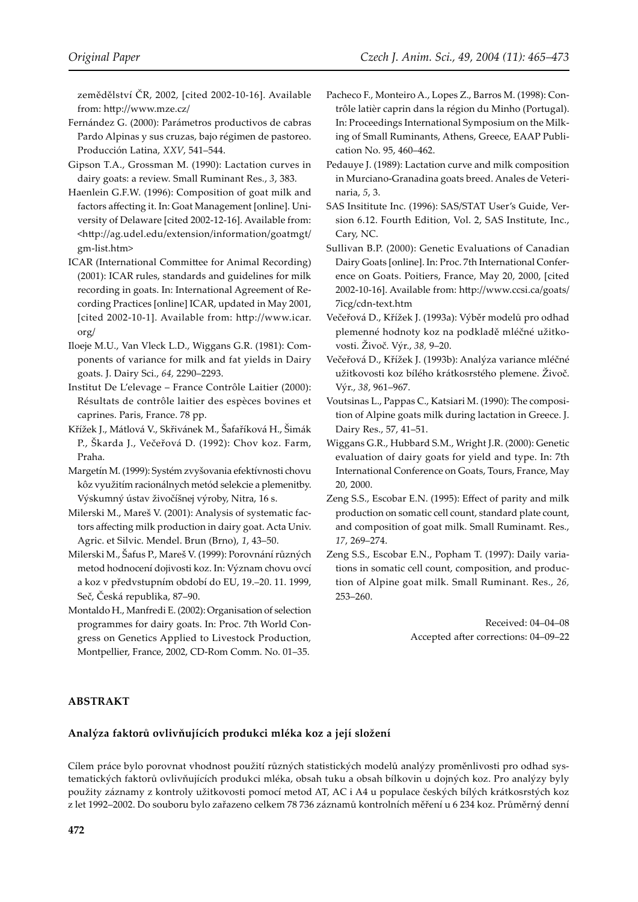zemědělství ČR, 2002, [cited 2002-10-16]. Available from: h�p://www.mze.cz/

- Fernández G. (2000): Parámetros productivos de cabras Pardo Alpinas y sus cruzas, bajo régimen de pastoreo. Producción Latina, *XXV*, 541–544.
- Gipson T.A., Grossman M. (1990): Lactation curves in dairy goats: a review. Small Ruminant Res*.*, *3*, 383.
- Haenlein G.F.W. (1996): Composition of goat milk and factors affecting it. In: Goat Management [online]. University of Delaware [cited 2002-12-16]. Available from: <h�p://ag.udel.edu/extension/information/goatmgt/ gm-list.htm>
- ICAR (International Committee for Animal Recording) (2001): ICAR rules, standards and guidelines for milk recording in goats. In: International Agreement of Recording Practices [online] ICAR, updated in May 2001, [cited 2002-10-1]. Available from: h�p://www.icar. org/
- Iloeje M.U., Van Vleck L.D., Wiggans G.R. (1981): Components of variance for milk and fat yields in Dairy goats. J. Dairy Sci., *64,* 2290–2293.
- Institut De L'elevage France Contrôle Laitier (2000): Résultats de contrôle laitier des espèces bovines et caprines. Paris, France. 78 pp.
- Křížek J., Mátlová V., Skřivánek M., Šafaříková H., Šimák P., Škarda J., Večeřová D. (1992): Chov koz. Farm, Praha.
- Margetín M. (1999): Systém zvyšovania efektívnosti chovu kôz využitím racionálnych metód selekcie a plemenitby. Výskumný ústav živočíšnej výroby, Nitra, 16 s.
- Milerski M., Mareš V. (2001): Analysis of systematic factors affecting milk production in dairy goat. Acta Univ. Agric. et Silvic. Mendel. Brun (Brno), *1*, 43–50.
- Milerski M., Šafus P., Mareš V. (1999): Porovnání různých metod hodnocení dojivosti koz. In: Význam chovu ovcí a koz v předvstupním období do EU, 19.–20. 11. 1999, Seč, Česká republika, 87–90.
- Montaldo H., Manfredi E. (2002): Organisation of selection programmes for dairy goats. In: Proc. 7th World Congress on Genetics Applied to Livestock Production*,*  Montpellier, France, 2002, CD-Rom Comm. No. 01–35.
- Pacheco F., Monteiro A., Lopes Z., Barros M. (1998): Contrôle latièr caprin dans la région du Minho (Portugal). In: Proceedings International Symposium on the Milking of Small Ruminants, Athens, Greece, EAAP Publication No. 95, 460–462.
- Pedauye J. (1989): Lactation curve and milk composition in Murciano-Granadina goats breed. Anales de Veterinaria, *5*, 3.
- SAS Insititute Inc. (1996): SAS/STAT User's Guide, Version 6.12. Fourth Edition, Vol. 2, SAS Institute, Inc., Cary, NC.
- Sullivan B.P. (2000): Genetic Evaluations of Canadian Dairy Goats [online]. In: Proc. 7th International Conference on Goats. Poitiers, France, May 20, 2000, [cited 2002-10-16]. Available from: http://www.ccsi.ca/goats/ 7icg/cdn-text.htm
- Večeřová D., Křížek J. (1993a): Výběr modelů pro odhad plemenné hodnoty koz na podkladě mléčné užitkovosti. Živoč. Výr., *38,* 9–20.
- Večeřová D., Křížek J. (1993b): Analýza variance mléčné užitkovosti koz bílého krátkosrstého plemene. Živoč. Výr., *38*, 961–967.
- Voutsinas L., Pappas C., Katsiari M. (1990): The composition of Alpine goats milk during lactation in Greece. J. Dairy Res., 57, 41–51.
- Wiggans G.R., Hubbard S.M., Wright J.R. (2000): Genetic evaluation of dairy goats for yield and type. In: 7th International Conference on Goats, Tours, France, May 20, 2000.
- Zeng S.S., Escobar E.N. (1995): Effect of parity and milk production on somatic cell count, standard plate count, and composition of goat milk. Small Ruminamt. Res., *17*, 269–274.
- Zeng S.S., Escobar E.N., Popham T. (1997): Daily variations in somatic cell count, composition, and production of Alpine goat milk. Small Ruminant. Res., *26,*  253–260.

Received: 04–04–08 Accepted after corrections: 04-09-22

## **ABSTRAKT**

#### **Analýza faktorů ovlivňujících produkci mléka koz a její složení**

Cílem práce bylo porovnat vhodnost použití různých statistických modelů analýzy proměnlivosti pro odhad systematických faktorů ovlivňujících produkci mléka, obsah tuku a obsah bílkovin u dojných koz. Pro analýzy byly použity záznamy z kontroly užitkovosti pomocí metod AT, AC i A4 u populace českých bílých krátkosrstých koz z let 1992–2002. Do souboru bylo zařazeno celkem 78 736 záznamů kontrolních měření u 6 234 koz. Průměrný denní